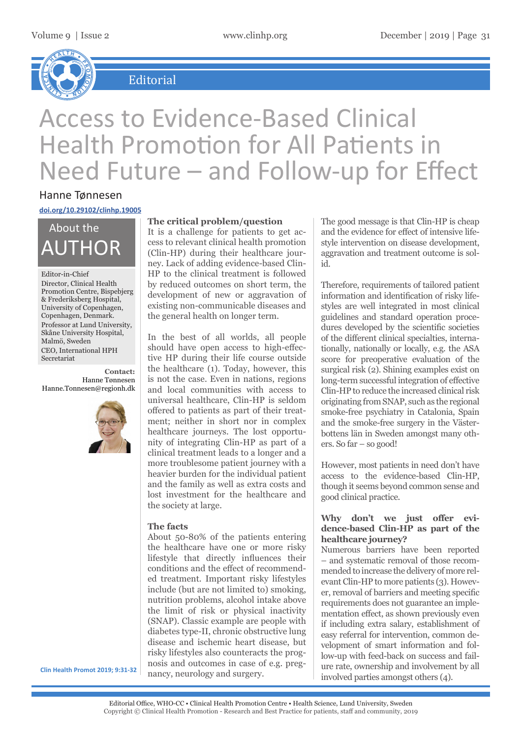

 $E$ *Editorial* 

# Access to Evidence-Based Clinical Health Promotion for All Patients in Need Future – and Follow-up for Effect

### Hanne Tønnesen

**doi.org/10.29102/clinhp.19005**

AUTHOR About the

#### Editor-in-Chief

Director, Clinical Health Promotion Centre, Bispebjerg & Frederiksberg Hospital, University of Copenhagen, Copenhagen, Denmark. Professor at Lund University, Skåne University Hospital, Malmö, Sweden CEO, International HPH Secretariat

**Contact:** Hanne Tønnesen Hanne.Tonnesen@regionh.dk



#### **The critical problem/question**

It is a challenge for patients to get access to relevant clinical health promotion (Clin-HP) during their healthcare journey. Lack of adding evidence-based Clin-HP to the clinical treatment is followed by reduced outcomes on short term, the development of new or aggravation of existing non-communicable diseases and the general health on longer term.

In the best of all worlds, all people should have open access to high-effective HP during their life course outside the healthcare (1). Today, however, this is not the case. Even in nations, regions and local communities with access to universal healthcare, Clin-HP is seldom offered to patients as part of their treatment; neither in short nor in complex healthcare journeys. The lost opportunity of integrating Clin-HP as part of a clinical treatment leads to a longer and a more troublesome patient journey with a heavier burden for the individual patient and the family as well as extra costs and lost investment for the healthcare and the society at large.

#### **The facts**

About 50-80% of the patients entering the healthcare have one or more risky lifestyle that directly influences their conditions and the effect of recommended treatment. Important risky lifestyles include (but are not limited to) smoking, nutrition problems, alcohol intake above the limit of risk or physical inactivity (SNAP). Classic example are people with diabetes type-II, chronic obstructive lung disease and ischemic heart disease, but risky lifestyles also counteracts the prognosis and outcomes in case of e.g. pregnancy, neurology and surgery.

The good message is that Clin-HP is cheap and the evidence for effect of intensive lifestyle intervention on disease development, aggravation and treatment outcome is solid.

Therefore, requirements of tailored patient information and identification of risky lifestyles are well integrated in most clinical guidelines and standard operation procedures developed by the scientific societies of the different clinical specialties, internationally, nationally or locally, e.g. the ASA score for preoperative evaluation of the surgical risk (2). Shining examples exist on long-term successful integration of effective Clin-HP to reduce the increased clinical risk originating from SNAP, such as the regional smoke-free psychiatry in Catalonia, Spain and the smoke-free surgery in the Västerbottens län in Sweden amongst many others. So far – so good!

However, most patients in need don't have access to the evidence-based Clin-HP, though it seems beyond common sense and good clinical practice.

#### **Why don't we just offer evidence-based Clin-HP as part of the healthcare journey?**

Numerous barriers have been reported – and systematic removal of those recommended to increase the delivery of more relevant Clin-HP to more patients (3). However, removal of barriers and meeting specific requirements does not guarantee an implementation effect, as shown previously even if including extra salary, establishment of easy referral for intervention, common development of smart information and follow-up with feed-back on success and failure rate, ownership and involvement by all involved parties amongst others (4).

**Clin Health Promot 2019; 9:31-32**